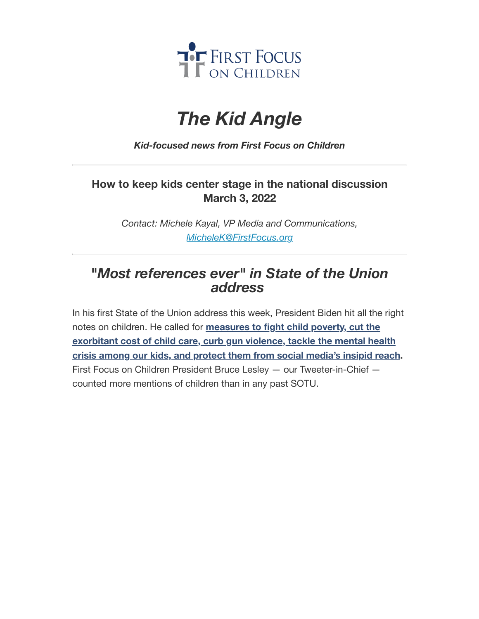

# *The Kid Angle*

*Kid-focused news from First Focus on Children*

## **How to keep kids center stage in the national discussion March 3, 2022**

*Contact: Michele Kayal, VP Media and Communications, [MicheleK@FirstFocus.org](mailto:MicheleK@firstfocus.org)*

# *"Most references ever" in State of the Union address*

In his first State of the Union address this week, President Biden hit all the right notes on children. He called for **measures to fight child poverty, cut the [exorbitant](https://action.campaignforchildren.org/r?u=FzF-KU0ygDWc21UK_uySepioNa-cV_WWCBWW4vgX3aOiKT3Vy2dP8jb_-deY_6hZgDVMY9NLrE66fJkeVEdH0t4ZOpj_SLU737fQ54wbEuCnbidF12MQzRMWlWJ9WKSPuKOZvS1PeW6Oh-IYGkjQ1RuaPn-gMZZfUVT-lytnhUNs1ds-VAtdTYN_rEzmVsOj&e=6d50ef9bac605c372bd31a2e7c9cacfd&utm_source=ffcc&utm_medium=email&utm_campaign=_90_supporters&n=2&test_email=1) cost of child care, curb gun violence, tackle the mental health crisis among our kids, and protect them from social media's insipid reach.** First Focus on Children President Bruce Lesley — our Tweeter-in-Chief counted more mentions of children than in any past SOTU.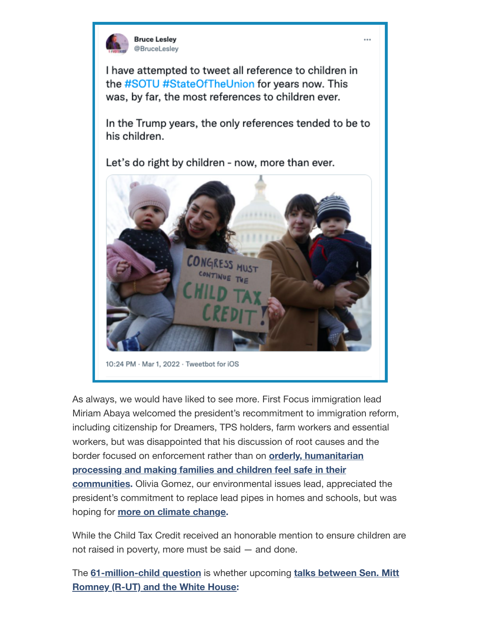

I have attempted to tweet all reference to children in the #SOTU #StateOfTheUnion for years now. This was, by far, the most references to children ever.

In the Trump years, the only references tended to be to his children.

Let's do right by children - now, more than ever.



As always, we would have liked to see more. First Focus immigration lead Miriam Abaya welcomed the president's recommitment to immigration reform, including citizenship for Dreamers, TPS holders, farm workers and essential workers, but was disappointed that his discussion of root causes and the border focused on enforcement rather than on **orderly, humanitarian processing and making families and children feel safe in their [communities.](https://action.campaignforchildren.org/r?u=FzF-KU0ygDWc21UK_uySekgPmwjmZkZsxldxdDbmnT_lGARCJMUJh8ESlVOXxhiMwIXxQ_mOKrC6lRmKEGDczaUQ4DalGd26GtcwnOwEIGcySZ64JhOEVGcfNLRBDxOjSfyRtO02XKEAA0fkNE221mjQI1fA3aMeEMDUuJ5Se_Y&e=6d50ef9bac605c372bd31a2e7c9cacfd&utm_source=ffcc&utm_medium=email&utm_campaign=_90_supporters&n=4&test_email=1)** Olivia Gomez, our environmental issues lead, appreciated the president's commitment to replace lead pipes in homes and schools, but was hoping for **more on climate [change.](https://action.campaignforchildren.org/r?u=FzF-KU0ygDWc21UK_uySemwctzkVFSlwktH6VSX7KnVlpAbdqoqCEAkepeGzIooB1y4t0mKdhATcuZYdqKJ5qCpeC9rflyf8M1GQg_9YCI8&e=6d50ef9bac605c372bd31a2e7c9cacfd&utm_source=ffcc&utm_medium=email&utm_campaign=_90_supporters&n=5&test_email=1)**

While the Child Tax Credit received an honorable mention to ensure children are not raised in poverty, more must be said — and done.

The **[6](https://action.campaignforchildren.org/r?u=JX29FWb9uUpbxNXmJoySWXVIBaVtsA1BFSaqNTipwkBi_OT2SqhOEafJioz3uBoFgeq1tLv3KEcPgmWUzu0eUEQ4U_C_gW4IPnYYn2FN4O7UWv48KXpchpIb5wtX3FSx1H5ezJxSO4tkEzBx3GDQpdUT_xE1XUsM2-ArC3kdvteuTFinszpKubIVWJfWUyxt&e=6d50ef9bac605c372bd31a2e7c9cacfd&utm_source=ffcc&utm_medium=email&utm_campaign=_90_supporters&n=7&test_email=1)[1-million-child](https://action.campaignforchildren.org/r?u=dEEDYEUGb6ZYO9h-oDOIAqAMaM2Waw7BXBOqBp0DZakdyyHuXubzAO_vWOPA3b0bpkkAZmq7lGYYNffuqf6hKw&e=6d50ef9bac605c372bd31a2e7c9cacfd&utm_source=ffcc&utm_medium=email&utm_campaign=_90_supporters&n=6&test_email=1) question** is whether upcoming **talks between Sen. Mitt Romney (R-UT) and the White House:**